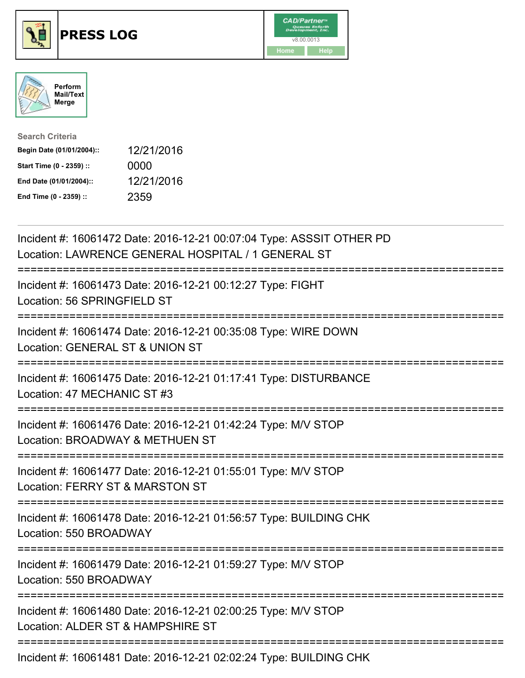





| <b>Search Criteria</b>    |            |
|---------------------------|------------|
| Begin Date (01/01/2004):: | 12/21/2016 |
| Start Time (0 - 2359) ::  | 0000       |
| End Date (01/01/2004)::   | 12/21/2016 |
| End Time (0 - 2359) ::    | 2359       |

| Incident #: 16061472 Date: 2016-12-21 00:07:04 Type: ASSSIT OTHER PD<br>Location: LAWRENCE GENERAL HOSPITAL / 1 GENERAL ST                     |
|------------------------------------------------------------------------------------------------------------------------------------------------|
| Incident #: 16061473 Date: 2016-12-21 00:12:27 Type: FIGHT<br>Location: 56 SPRINGFIELD ST<br>==========                                        |
| Incident #: 16061474 Date: 2016-12-21 00:35:08 Type: WIRE DOWN<br>Location: GENERAL ST & UNION ST                                              |
| Incident #: 16061475 Date: 2016-12-21 01:17:41 Type: DISTURBANCE<br>Location: 47 MECHANIC ST #3<br>------------                                |
| Incident #: 16061476 Date: 2016-12-21 01:42:24 Type: M/V STOP<br>Location: BROADWAY & METHUEN ST<br>============<br>========================== |
| Incident #: 16061477 Date: 2016-12-21 01:55:01 Type: M/V STOP<br>Location: FERRY ST & MARSTON ST<br>--------------------------                 |
| =============<br>Incident #: 16061478 Date: 2016-12-21 01:56:57 Type: BUILDING CHK<br>Location: 550 BROADWAY                                   |
| Incident #: 16061479 Date: 2016-12-21 01:59:27 Type: M/V STOP<br>Location: 550 BROADWAY                                                        |
| Incident #: 16061480 Date: 2016-12-21 02:00:25 Type: M/V STOP<br>Location: ALDER ST & HAMPSHIRE ST                                             |
| -------------------------------------<br>Incident #: 16061481 Date: 2016-12-21 02:02:24 Type: BUILDING CHK                                     |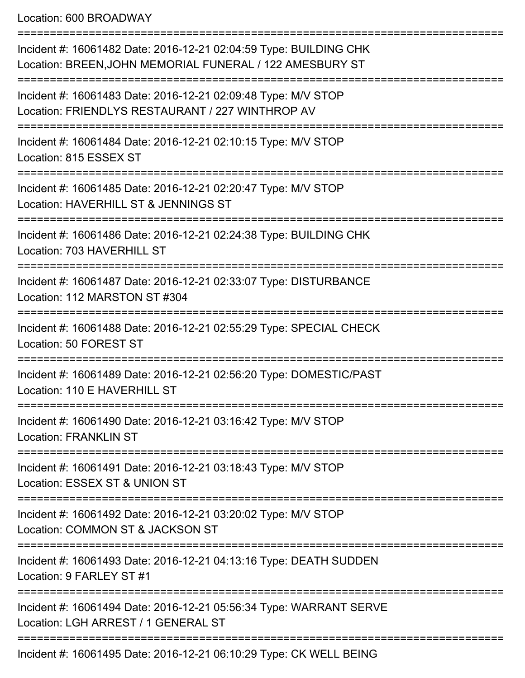Location: 600 BROADWAY

=========================================================================== Incident #: 16061482 Date: 2016-12-21 02:04:59 Type: BUILDING CHK Location: BREEN,JOHN MEMORIAL FUNERAL / 122 AMESBURY ST =========================================================================== Incident #: 16061483 Date: 2016-12-21 02:09:48 Type: M/V STOP Location: FRIENDLYS RESTAURANT / 227 WINTHROP AV =========================================================================== Incident #: 16061484 Date: 2016-12-21 02:10:15 Type: M/V STOP Location: 815 ESSEX ST =========================================================================== Incident #: 16061485 Date: 2016-12-21 02:20:47 Type: M/V STOP Location: HAVERHILL ST & JENNINGS ST =========================================================================== Incident #: 16061486 Date: 2016-12-21 02:24:38 Type: BUILDING CHK Location: 703 HAVERHILL ST =========================================================================== Incident #: 16061487 Date: 2016-12-21 02:33:07 Type: DISTURBANCE Location: 112 MARSTON ST #304 =========================================================================== Incident #: 16061488 Date: 2016-12-21 02:55:29 Type: SPECIAL CHECK Location: 50 FOREST ST =========================================================================== Incident #: 16061489 Date: 2016-12-21 02:56:20 Type: DOMESTIC/PAST Location: 110 E HAVERHILL ST =========================================================================== Incident #: 16061490 Date: 2016-12-21 03:16:42 Type: M/V STOP Location: FRANKLIN ST =========================================================================== Incident #: 16061491 Date: 2016-12-21 03:18:43 Type: M/V STOP Location: ESSEX ST & UNION ST =========================================================================== Incident #: 16061492 Date: 2016-12-21 03:20:02 Type: M/V STOP Location: COMMON ST & JACKSON ST =========================================================================== Incident #: 16061493 Date: 2016-12-21 04:13:16 Type: DEATH SUDDEN Location: 9 FARLEY ST #1 =========================================================================== Incident #: 16061494 Date: 2016-12-21 05:56:34 Type: WARRANT SERVE Location: LGH ARREST / 1 GENERAL ST =========================================================================== Incident #: 16061495 Date: 2016-12-21 06:10:29 Type: CK WELL BEING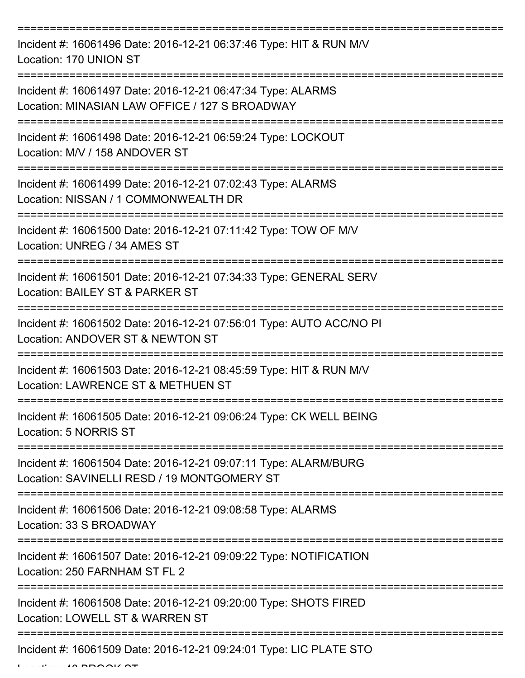=========================================================================== Incident #: 16061496 Date: 2016-12-21 06:37:46 Type: HIT & RUN M/V Location: 170 UNION ST =========================================================================== Incident #: 16061497 Date: 2016-12-21 06:47:34 Type: ALARMS Location: MINASIAN LAW OFFICE / 127 S BROADWAY =========================================================================== Incident #: 16061498 Date: 2016-12-21 06:59:24 Type: LOCKOUT Location: M/V / 158 ANDOVER ST =========================================================================== Incident #: 16061499 Date: 2016-12-21 07:02:43 Type: ALARMS Location: NISSAN / 1 COMMONWEALTH DR =========================================================================== Incident #: 16061500 Date: 2016-12-21 07:11:42 Type: TOW OF M/V Location: UNREG / 34 AMES ST =========================================================================== Incident #: 16061501 Date: 2016-12-21 07:34:33 Type: GENERAL SERV Location: BAILEY ST & PARKER ST =========================================================================== Incident #: 16061502 Date: 2016-12-21 07:56:01 Type: AUTO ACC/NO PI Location: ANDOVER ST & NEWTON ST =========================================================================== Incident #: 16061503 Date: 2016-12-21 08:45:59 Type: HIT & RUN M/V Location: LAWRENCE ST & METHUEN ST =========================================================================== Incident #: 16061505 Date: 2016-12-21 09:06:24 Type: CK WELL BEING Location: 5 NORRIS ST =========================================================================== Incident #: 16061504 Date: 2016-12-21 09:07:11 Type: ALARM/BURG Location: SAVINELLI RESD / 19 MONTGOMERY ST =========================================================================== Incident #: 16061506 Date: 2016-12-21 09:08:58 Type: ALARMS Location: 33 S BROADWAY =========================================================================== Incident #: 16061507 Date: 2016-12-21 09:09:22 Type: NOTIFICATION Location: 250 FARNHAM ST FL 2 =========================================================================== Incident #: 16061508 Date: 2016-12-21 09:20:00 Type: SHOTS FIRED Location: LOWELL ST & WARREN ST =========================================================================== Incident #: 16061509 Date: 2016-12-21 09:24:01 Type: LIC PLATE STO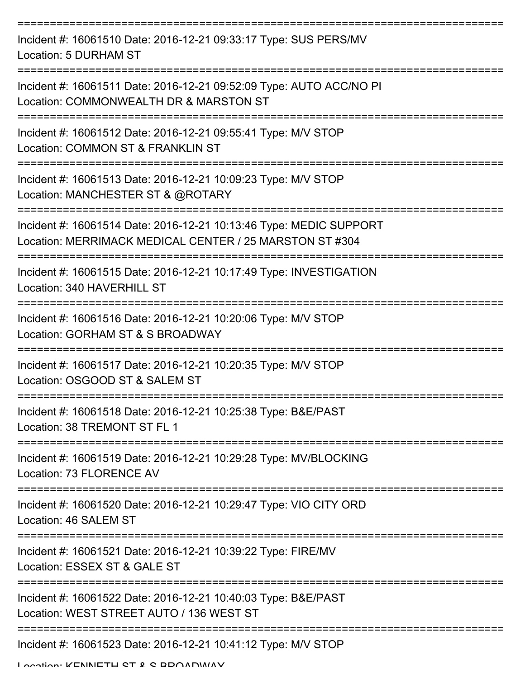| Incident #: 16061510 Date: 2016-12-21 09:33:17 Type: SUS PERS/MV<br>Location: 5 DURHAM ST                                                                         |
|-------------------------------------------------------------------------------------------------------------------------------------------------------------------|
| Incident #: 16061511 Date: 2016-12-21 09:52:09 Type: AUTO ACC/NO PI<br>Location: COMMONWEALTH DR & MARSTON ST                                                     |
| Incident #: 16061512 Date: 2016-12-21 09:55:41 Type: M/V STOP<br>Location: COMMON ST & FRANKLIN ST                                                                |
| Incident #: 16061513 Date: 2016-12-21 10:09:23 Type: M/V STOP<br>Location: MANCHESTER ST & @ROTARY                                                                |
| Incident #: 16061514 Date: 2016-12-21 10:13:46 Type: MEDIC SUPPORT<br>Location: MERRIMACK MEDICAL CENTER / 25 MARSTON ST #304<br>================================ |
| Incident #: 16061515 Date: 2016-12-21 10:17:49 Type: INVESTIGATION<br>Location: 340 HAVERHILL ST                                                                  |
| Incident #: 16061516 Date: 2016-12-21 10:20:06 Type: M/V STOP<br>Location: GORHAM ST & S BROADWAY                                                                 |
| Incident #: 16061517 Date: 2016-12-21 10:20:35 Type: M/V STOP<br>Location: OSGOOD ST & SALEM ST                                                                   |
| Incident #: 16061518 Date: 2016-12-21 10:25:38 Type: B&E/PAST<br>Location: 38 TREMONT ST FL 1                                                                     |
| Incident #: 16061519 Date: 2016-12-21 10:29:28 Type: MV/BLOCKING<br>Location: 73 FLORENCE AV                                                                      |
| Incident #: 16061520 Date: 2016-12-21 10:29:47 Type: VIO CITY ORD<br>Location: 46 SALEM ST                                                                        |
| Incident #: 16061521 Date: 2016-12-21 10:39:22 Type: FIRE/MV<br>Location: ESSEX ST & GALE ST                                                                      |
| Incident #: 16061522 Date: 2016-12-21 10:40:03 Type: B&E/PAST<br>Location: WEST STREET AUTO / 136 WEST ST                                                         |
| Incident #: 16061523 Date: 2016-12-21 10:41:12 Type: M/V STOP                                                                                                     |

Location: KENNIETH CT & C BBOADWAY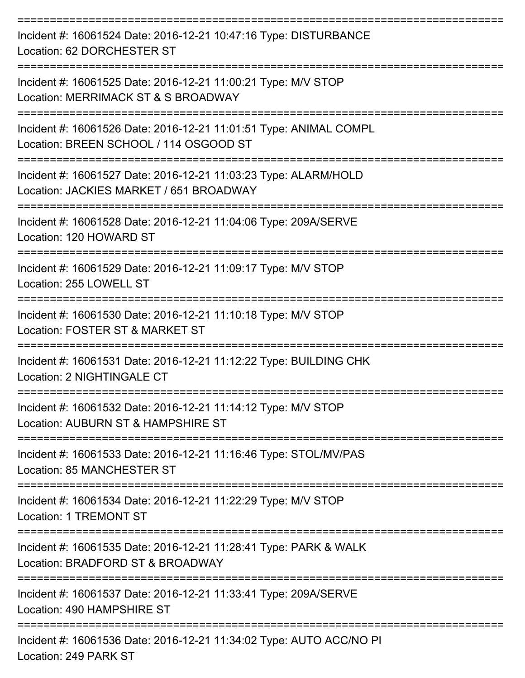| Incident #: 16061524 Date: 2016-12-21 10:47:16 Type: DISTURBANCE<br>Location: 62 DORCHESTER ST              |
|-------------------------------------------------------------------------------------------------------------|
| Incident #: 16061525 Date: 2016-12-21 11:00:21 Type: M/V STOP<br>Location: MERRIMACK ST & S BROADWAY        |
| Incident #: 16061526 Date: 2016-12-21 11:01:51 Type: ANIMAL COMPL<br>Location: BREEN SCHOOL / 114 OSGOOD ST |
| Incident #: 16061527 Date: 2016-12-21 11:03:23 Type: ALARM/HOLD<br>Location: JACKIES MARKET / 651 BROADWAY  |
| Incident #: 16061528 Date: 2016-12-21 11:04:06 Type: 209A/SERVE<br>Location: 120 HOWARD ST                  |
| Incident #: 16061529 Date: 2016-12-21 11:09:17 Type: M/V STOP<br>Location: 255 LOWELL ST                    |
| Incident #: 16061530 Date: 2016-12-21 11:10:18 Type: M/V STOP<br>Location: FOSTER ST & MARKET ST            |
| Incident #: 16061531 Date: 2016-12-21 11:12:22 Type: BUILDING CHK<br>Location: 2 NIGHTINGALE CT             |
| Incident #: 16061532 Date: 2016-12-21 11:14:12 Type: M/V STOP<br>Location: AUBURN ST & HAMPSHIRE ST         |
| Incident #: 16061533 Date: 2016-12-21 11:16:46 Type: STOL/MV/PAS<br>Location: 85 MANCHESTER ST              |
| Incident #: 16061534 Date: 2016-12-21 11:22:29 Type: M/V STOP<br>Location: 1 TREMONT ST                     |
| Incident #: 16061535 Date: 2016-12-21 11:28:41 Type: PARK & WALK<br>Location: BRADFORD ST & BROADWAY        |
| Incident #: 16061537 Date: 2016-12-21 11:33:41 Type: 209A/SERVE<br>Location: 490 HAMPSHIRE ST               |
| Incident #: 16061536 Date: 2016-12-21 11:34:02 Type: AUTO ACC/NO PI<br>Location: 249 PARK ST                |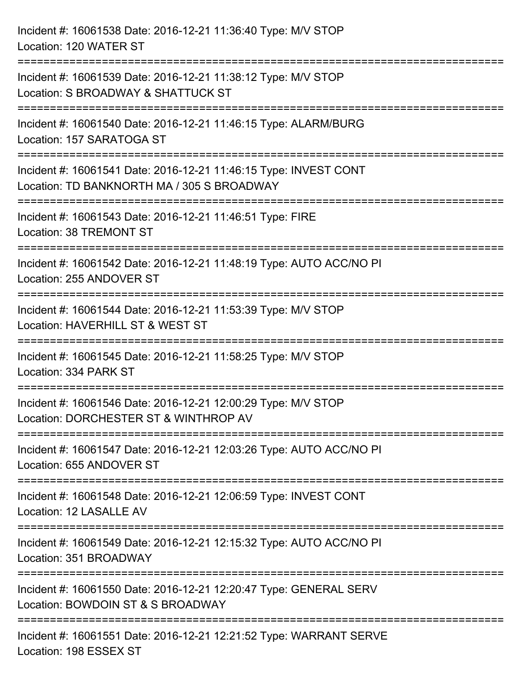| Incident #: 16061538 Date: 2016-12-21 11:36:40 Type: M/V STOP<br>Location: 120 WATER ST                                  |
|--------------------------------------------------------------------------------------------------------------------------|
| Incident #: 16061539 Date: 2016-12-21 11:38:12 Type: M/V STOP<br>Location: S BROADWAY & SHATTUCK ST                      |
| Incident #: 16061540 Date: 2016-12-21 11:46:15 Type: ALARM/BURG<br>Location: 157 SARATOGA ST<br>======================== |
| Incident #: 16061541 Date: 2016-12-21 11:46:15 Type: INVEST CONT<br>Location: TD BANKNORTH MA / 305 S BROADWAY           |
| Incident #: 16061543 Date: 2016-12-21 11:46:51 Type: FIRE<br>Location: 38 TREMONT ST                                     |
| Incident #: 16061542 Date: 2016-12-21 11:48:19 Type: AUTO ACC/NO PI<br>Location: 255 ANDOVER ST                          |
| Incident #: 16061544 Date: 2016-12-21 11:53:39 Type: M/V STOP<br>Location: HAVERHILL ST & WEST ST                        |
| Incident #: 16061545 Date: 2016-12-21 11:58:25 Type: M/V STOP<br>Location: 334 PARK ST                                   |
| Incident #: 16061546 Date: 2016-12-21 12:00:29 Type: M/V STOP<br>Location: DORCHESTER ST & WINTHROP AV                   |
| Incident #: 16061547 Date: 2016-12-21 12:03:26 Type: AUTO ACC/NO PI<br>Location: 655 ANDOVER ST                          |
| Incident #: 16061548 Date: 2016-12-21 12:06:59 Type: INVEST CONT<br>Location: 12 LASALLE AV                              |
| Incident #: 16061549 Date: 2016-12-21 12:15:32 Type: AUTO ACC/NO PI<br>Location: 351 BROADWAY                            |
| Incident #: 16061550 Date: 2016-12-21 12:20:47 Type: GENERAL SERV<br>Location: BOWDOIN ST & S BROADWAY                   |
| Incident #: 16061551 Date: 2016-12-21 12:21:52 Type: WARRANT SERVE<br>Location: 198 ESSEX ST                             |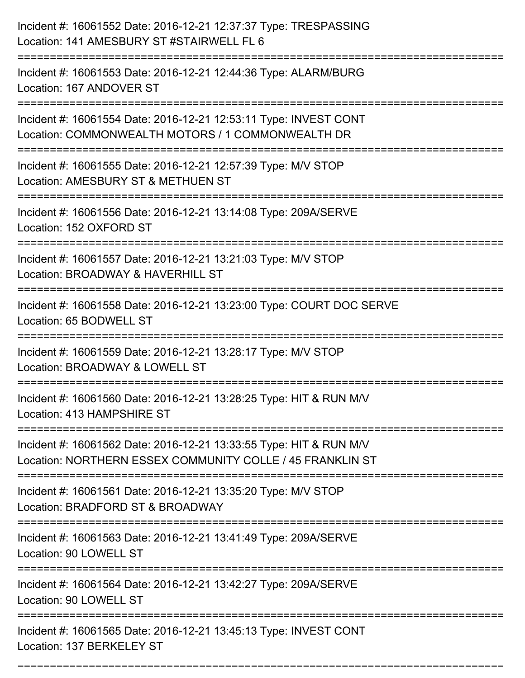| Incident #: 16061552 Date: 2016-12-21 12:37:37 Type: TRESPASSING<br>Location: 141 AMESBURY ST #STAIRWELL FL 6                   |
|---------------------------------------------------------------------------------------------------------------------------------|
| Incident #: 16061553 Date: 2016-12-21 12:44:36 Type: ALARM/BURG<br>Location: 167 ANDOVER ST                                     |
| Incident #: 16061554 Date: 2016-12-21 12:53:11 Type: INVEST CONT<br>Location: COMMONWEALTH MOTORS / 1 COMMONWEALTH DR           |
| Incident #: 16061555 Date: 2016-12-21 12:57:39 Type: M/V STOP<br>Location: AMESBURY ST & METHUEN ST                             |
| Incident #: 16061556 Date: 2016-12-21 13:14:08 Type: 209A/SERVE<br>Location: 152 OXFORD ST                                      |
| Incident #: 16061557 Date: 2016-12-21 13:21:03 Type: M/V STOP<br>Location: BROADWAY & HAVERHILL ST                              |
| Incident #: 16061558 Date: 2016-12-21 13:23:00 Type: COURT DOC SERVE<br>Location: 65 BODWELL ST<br>-------------------------    |
| Incident #: 16061559 Date: 2016-12-21 13:28:17 Type: M/V STOP<br>Location: BROADWAY & LOWELL ST                                 |
| Incident #: 16061560 Date: 2016-12-21 13:28:25 Type: HIT & RUN M/V<br>Location: 413 HAMPSHIRE ST                                |
| Incident #: 16061562 Date: 2016-12-21 13:33:55 Type: HIT & RUN M/V<br>Location: NORTHERN ESSEX COMMUNITY COLLE / 45 FRANKLIN ST |
| Incident #: 16061561 Date: 2016-12-21 13:35:20 Type: M/V STOP<br>Location: BRADFORD ST & BROADWAY                               |
| Incident #: 16061563 Date: 2016-12-21 13:41:49 Type: 209A/SERVE<br>Location: 90 LOWELL ST                                       |
| Incident #: 16061564 Date: 2016-12-21 13:42:27 Type: 209A/SERVE<br>Location: 90 LOWELL ST                                       |
| Incident #: 16061565 Date: 2016-12-21 13:45:13 Type: INVEST CONT<br>Location: 137 BERKELEY ST                                   |

===========================================================================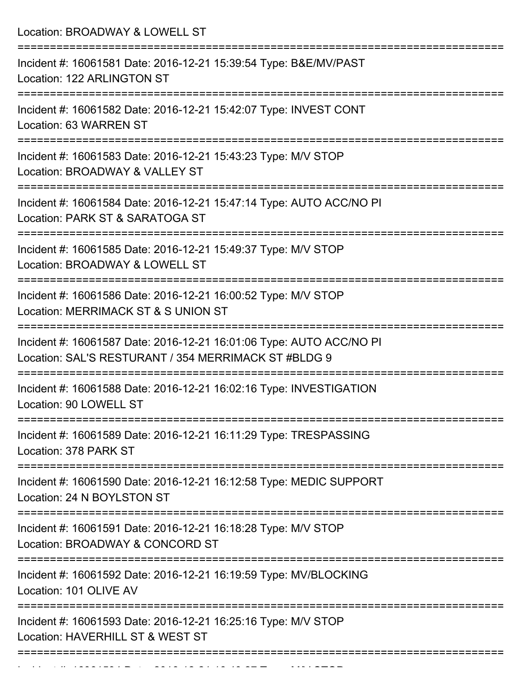| Location: BROADWAY & LOWELL ST                                                                                                    |
|-----------------------------------------------------------------------------------------------------------------------------------|
| Incident #: 16061581 Date: 2016-12-21 15:39:54 Type: B&E/MV/PAST<br>Location: 122 ARLINGTON ST                                    |
| Incident #: 16061582 Date: 2016-12-21 15:42:07 Type: INVEST CONT<br>Location: 63 WARREN ST                                        |
| Incident #: 16061583 Date: 2016-12-21 15:43:23 Type: M/V STOP<br>Location: BROADWAY & VALLEY ST                                   |
| Incident #: 16061584 Date: 2016-12-21 15:47:14 Type: AUTO ACC/NO PI<br>Location: PARK ST & SARATOGA ST                            |
| Incident #: 16061585 Date: 2016-12-21 15:49:37 Type: M/V STOP<br>Location: BROADWAY & LOWELL ST                                   |
| Incident #: 16061586 Date: 2016-12-21 16:00:52 Type: M/V STOP<br>Location: MERRIMACK ST & S UNION ST<br>:======================== |
| Incident #: 16061587 Date: 2016-12-21 16:01:06 Type: AUTO ACC/NO PI<br>Location: SAL'S RESTURANT / 354 MERRIMACK ST #BLDG 9       |
| Incident #: 16061588 Date: 2016-12-21 16:02:16 Type: INVESTIGATION<br>Location: 90 LOWELL ST                                      |
| Incident #: 16061589 Date: 2016-12-21 16:11:29 Type: TRESPASSING<br>Location: 378 PARK ST                                         |
| Incident #: 16061590 Date: 2016-12-21 16:12:58 Type: MEDIC SUPPORT<br>Location: 24 N BOYLSTON ST                                  |
| Incident #: 16061591 Date: 2016-12-21 16:18:28 Type: M/V STOP<br>Location: BROADWAY & CONCORD ST                                  |
| ==============================<br>Incident #: 16061592 Date: 2016-12-21 16:19:59 Type: MV/BLOCKING<br>Location: 101 OLIVE AV      |
| Incident #: 16061593 Date: 2016-12-21 16:25:16 Type: M/V STOP<br>Location: HAVERHILL ST & WEST ST                                 |

Incident #: 16061594 Date: 2016 12 21 16:4062 Date: 201612-27 Type: M/V STOP: 201612-27<br>.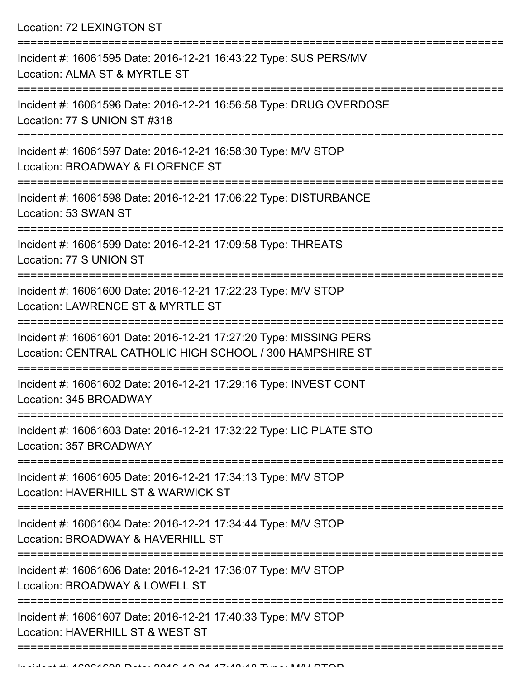Location: 72 LEXINGTON ST

| Incident #: 16061595 Date: 2016-12-21 16:43:22 Type: SUS PERS/MV<br>Location: ALMA ST & MYRTLE ST                              |
|--------------------------------------------------------------------------------------------------------------------------------|
| Incident #: 16061596 Date: 2016-12-21 16:56:58 Type: DRUG OVERDOSE<br>Location: 77 S UNION ST #318                             |
| Incident #: 16061597 Date: 2016-12-21 16:58:30 Type: M/V STOP<br>Location: BROADWAY & FLORENCE ST                              |
| Incident #: 16061598 Date: 2016-12-21 17:06:22 Type: DISTURBANCE<br>Location: 53 SWAN ST                                       |
| Incident #: 16061599 Date: 2016-12-21 17:09:58 Type: THREATS<br>Location: 77 S UNION ST                                        |
| Incident #: 16061600 Date: 2016-12-21 17:22:23 Type: M/V STOP<br>Location: LAWRENCE ST & MYRTLE ST                             |
| Incident #: 16061601 Date: 2016-12-21 17:27:20 Type: MISSING PERS<br>Location: CENTRAL CATHOLIC HIGH SCHOOL / 300 HAMPSHIRE ST |
| Incident #: 16061602 Date: 2016-12-21 17:29:16 Type: INVEST CONT<br>Location: 345 BROADWAY                                     |
| Incident #: 16061603 Date: 2016-12-21 17:32:22 Type: LIC PLATE STO<br>Location: 357 BROADWAY<br>------------                   |
| Incident #: 16061605 Date: 2016-12-21 17:34:13 Type: M/V STOP<br>Location: HAVERHILL ST & WARWICK ST                           |
| Incident #: 16061604 Date: 2016-12-21 17:34:44 Type: M/V STOP<br>Location: BROADWAY & HAVERHILL ST                             |
| Incident #: 16061606 Date: 2016-12-21 17:36:07 Type: M/V STOP<br>Location: BROADWAY & LOWELL ST                                |
| Incident #: 16061607 Date: 2016-12-21 17:40:33 Type: M/V STOP<br>Location: HAVERHILL ST & WEST ST                              |
|                                                                                                                                |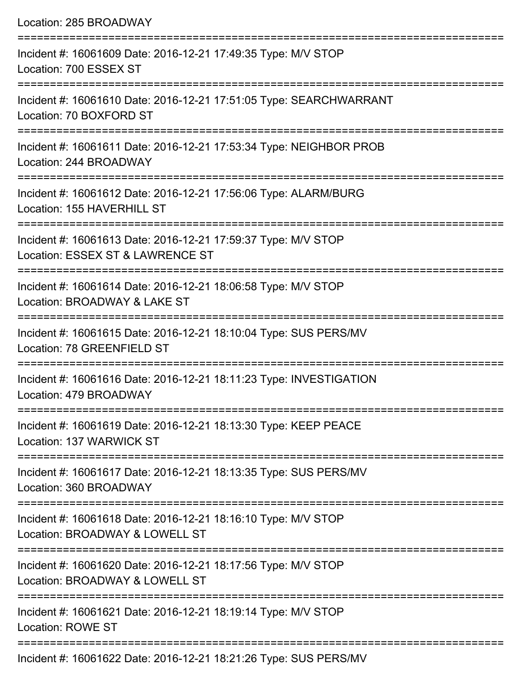| Location: 285 BROADWAY                                                                            |
|---------------------------------------------------------------------------------------------------|
| Incident #: 16061609 Date: 2016-12-21 17:49:35 Type: M/V STOP<br>Location: 700 ESSEX ST           |
| Incident #: 16061610 Date: 2016-12-21 17:51:05 Type: SEARCHWARRANT<br>Location: 70 BOXFORD ST     |
| Incident #: 16061611 Date: 2016-12-21 17:53:34 Type: NEIGHBOR PROB<br>Location: 244 BROADWAY      |
| Incident #: 16061612 Date: 2016-12-21 17:56:06 Type: ALARM/BURG<br>Location: 155 HAVERHILL ST     |
| Incident #: 16061613 Date: 2016-12-21 17:59:37 Type: M/V STOP<br>Location: ESSEX ST & LAWRENCE ST |
| Incident #: 16061614 Date: 2016-12-21 18:06:58 Type: M/V STOP<br>Location: BROADWAY & LAKE ST     |
| Incident #: 16061615 Date: 2016-12-21 18:10:04 Type: SUS PERS/MV<br>Location: 78 GREENFIELD ST    |
| Incident #: 16061616 Date: 2016-12-21 18:11:23 Type: INVESTIGATION<br>Location: 479 BROADWAY      |
| Incident #: 16061619 Date: 2016-12-21 18:13:30 Type: KEEP PEACE<br>Location: 137 WARWICK ST       |
| Incident #: 16061617 Date: 2016-12-21 18:13:35 Type: SUS PERS/MV<br>Location: 360 BROADWAY        |
| Incident #: 16061618 Date: 2016-12-21 18:16:10 Type: M/V STOP<br>Location: BROADWAY & LOWELL ST   |
| Incident #: 16061620 Date: 2016-12-21 18:17:56 Type: M/V STOP<br>Location: BROADWAY & LOWELL ST   |
| Incident #: 16061621 Date: 2016-12-21 18:19:14 Type: M/V STOP<br><b>Location: ROWE ST</b>         |
| ACOOACOQ                                                                                          |

Incident #: 16061622 Date: 2016-12-21 18:21:26 Type: SUS PERS/MV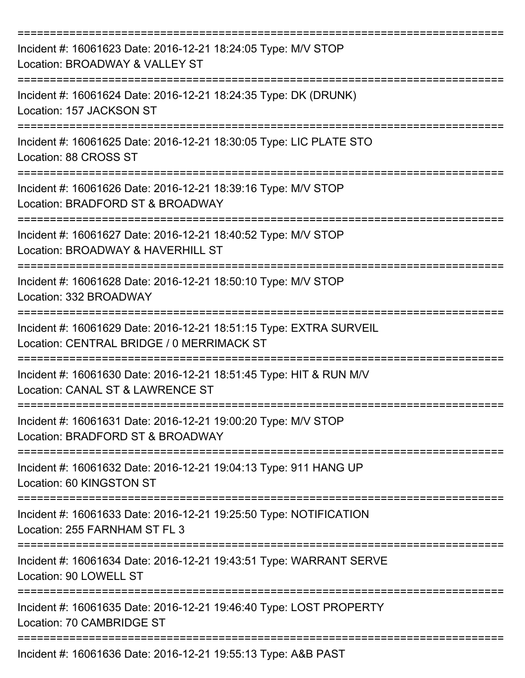| Incident #: 16061623 Date: 2016-12-21 18:24:05 Type: M/V STOP<br>Location: BROADWAY & VALLEY ST                 |
|-----------------------------------------------------------------------------------------------------------------|
| Incident #: 16061624 Date: 2016-12-21 18:24:35 Type: DK (DRUNK)<br>Location: 157 JACKSON ST                     |
| Incident #: 16061625 Date: 2016-12-21 18:30:05 Type: LIC PLATE STO<br>Location: 88 CROSS ST                     |
| Incident #: 16061626 Date: 2016-12-21 18:39:16 Type: M/V STOP<br>Location: BRADFORD ST & BROADWAY               |
| Incident #: 16061627 Date: 2016-12-21 18:40:52 Type: M/V STOP<br>Location: BROADWAY & HAVERHILL ST              |
| Incident #: 16061628 Date: 2016-12-21 18:50:10 Type: M/V STOP<br>Location: 332 BROADWAY                         |
| Incident #: 16061629 Date: 2016-12-21 18:51:15 Type: EXTRA SURVEIL<br>Location: CENTRAL BRIDGE / 0 MERRIMACK ST |
| Incident #: 16061630 Date: 2016-12-21 18:51:45 Type: HIT & RUN M/V<br>Location: CANAL ST & LAWRENCE ST          |
| Incident #: 16061631 Date: 2016-12-21 19:00:20 Type: M/V STOP<br>Location: BRADFORD ST & BROADWAY               |
| Incident #: 16061632 Date: 2016-12-21 19:04:13 Type: 911 HANG UP<br>Location: 60 KINGSTON ST                    |
| Incident #: 16061633 Date: 2016-12-21 19:25:50 Type: NOTIFICATION<br>Location: 255 FARNHAM ST FL 3              |
| Incident #: 16061634 Date: 2016-12-21 19:43:51 Type: WARRANT SERVE<br>Location: 90 LOWELL ST                    |
| Incident #: 16061635 Date: 2016-12-21 19:46:40 Type: LOST PROPERTY<br>Location: 70 CAMBRIDGE ST                 |
| =====================================<br>Incident #: 16061636 Date: 2016-12-21 19:55:13 Type: A&B PAST          |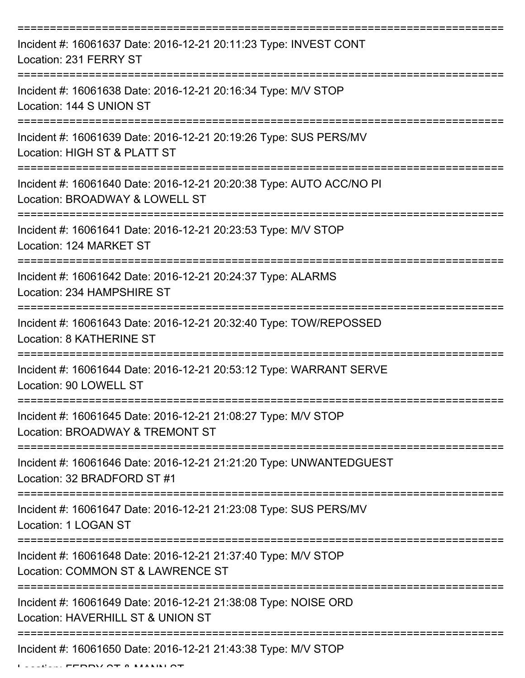| Incident #: 16061637 Date: 2016-12-21 20:11:23 Type: INVEST CONT<br>Location: 231 FERRY ST                           |
|----------------------------------------------------------------------------------------------------------------------|
| Incident #: 16061638 Date: 2016-12-21 20:16:34 Type: M/V STOP<br>Location: 144 S UNION ST                            |
| Incident #: 16061639 Date: 2016-12-21 20:19:26 Type: SUS PERS/MV<br>Location: HIGH ST & PLATT ST                     |
| Incident #: 16061640 Date: 2016-12-21 20:20:38 Type: AUTO ACC/NO PI<br>Location: BROADWAY & LOWELL ST                |
| Incident #: 16061641 Date: 2016-12-21 20:23:53 Type: M/V STOP<br>Location: 124 MARKET ST                             |
| Incident #: 16061642 Date: 2016-12-21 20:24:37 Type: ALARMS<br>Location: 234 HAMPSHIRE ST                            |
| Incident #: 16061643 Date: 2016-12-21 20:32:40 Type: TOW/REPOSSED<br><b>Location: 8 KATHERINE ST</b><br>============ |
| Incident #: 16061644 Date: 2016-12-21 20:53:12 Type: WARRANT SERVE<br>Location: 90 LOWELL ST                         |
| Incident #: 16061645 Date: 2016-12-21 21:08:27 Type: M/V STOP<br>Location: BROADWAY & TREMONT ST                     |
| Incident #: 16061646 Date: 2016-12-21 21:21:20 Type: UNWANTEDGUEST<br>Location: 32 BRADFORD ST #1                    |
| Incident #: 16061647 Date: 2016-12-21 21:23:08 Type: SUS PERS/MV<br>Location: 1 LOGAN ST                             |
| Incident #: 16061648 Date: 2016-12-21 21:37:40 Type: M/V STOP<br>Location: COMMON ST & LAWRENCE ST                   |
| Incident #: 16061649 Date: 2016-12-21 21:38:08 Type: NOISE ORD<br>Location: HAVERHILL ST & UNION ST                  |
| Incident #: 16061650 Date: 2016-12-21 21:43:38 Type: M/V STOP                                                        |

 $L = L L$ , FERRY OT & MANNI OT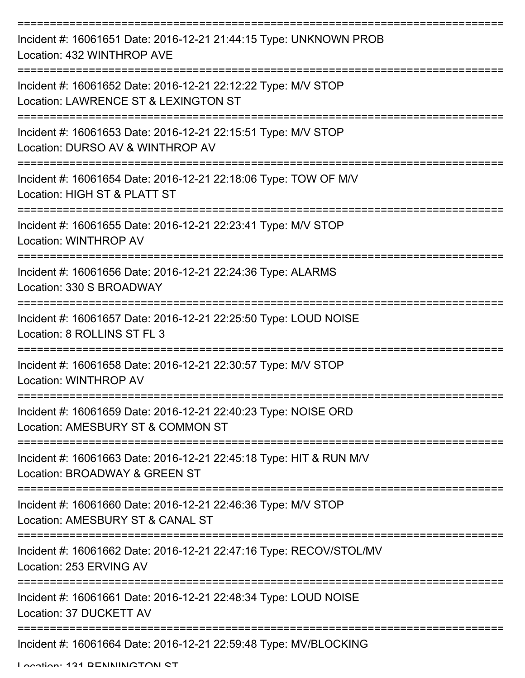| Incident #: 16061651 Date: 2016-12-21 21:44:15 Type: UNKNOWN PROB<br>Location: 432 WINTHROP AVE       |
|-------------------------------------------------------------------------------------------------------|
| Incident #: 16061652 Date: 2016-12-21 22:12:22 Type: M/V STOP<br>Location: LAWRENCE ST & LEXINGTON ST |
| Incident #: 16061653 Date: 2016-12-21 22:15:51 Type: M/V STOP<br>Location: DURSO AV & WINTHROP AV     |
| Incident #: 16061654 Date: 2016-12-21 22:18:06 Type: TOW OF M/V<br>Location: HIGH ST & PLATT ST       |
| Incident #: 16061655 Date: 2016-12-21 22:23:41 Type: M/V STOP<br><b>Location: WINTHROP AV</b>         |
| Incident #: 16061656 Date: 2016-12-21 22:24:36 Type: ALARMS<br>Location: 330 S BROADWAY               |
| Incident #: 16061657 Date: 2016-12-21 22:25:50 Type: LOUD NOISE<br>Location: 8 ROLLINS ST FL 3        |
| Incident #: 16061658 Date: 2016-12-21 22:30:57 Type: M/V STOP<br>Location: WINTHROP AV                |
| Incident #: 16061659 Date: 2016-12-21 22:40:23 Type: NOISE ORD<br>Location: AMESBURY ST & COMMON ST   |
| Incident #: 16061663 Date: 2016-12-21 22:45:18 Type: HIT & RUN M/V<br>Location: BROADWAY & GREEN ST   |
| Incident #: 16061660 Date: 2016-12-21 22:46:36 Type: M/V STOP<br>Location: AMESBURY ST & CANAL ST     |
| Incident #: 16061662 Date: 2016-12-21 22:47:16 Type: RECOV/STOL/MV<br>Location: 253 ERVING AV         |
| Incident #: 16061661 Date: 2016-12-21 22:48:34 Type: LOUD NOISE<br>Location: 37 DUCKETT AV            |
| Incident #: 16061664 Date: 2016-12-21 22:59:48 Type: MV/BLOCKING                                      |

Location: 121 BENNINGTON ST